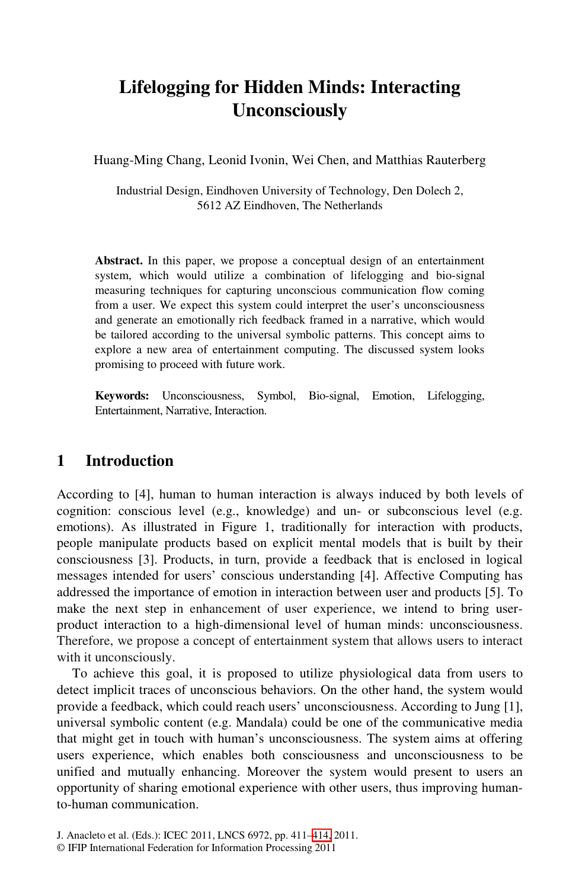# **Lifelogging for Hidden Minds: Interacting Unconsciously**

Huang-Ming Chang, Leonid Ivonin, Wei Chen, and Matthias Rauterberg

Industrial Design, Eindhoven University of Technology, Den Dolech 2, 5612 AZ Eindhoven, The Netherlands

**Abstract.** In this paper, we propose a conceptual design of an entertainment system, which would utilize a combination of lifelogging and bio-signal measuring techniques for capturing unconscious communication flow coming from a user. We expect this system could interpret the user's unconsciousness and generate an emotionally rich feedback framed in a narrative, which would be tailored according to the universal symbolic patterns. This concept aims to explore a new area of entertainment computing. The discussed system looks promising to proceed with future work.

**Keywords:** Unconsciousness, Symbol, Bio-signal, Emotion, Lifelogging, Entertainment, Narrative, Interaction.

### **1 Introduction**

According to [4], human to human interaction is always induced by both levels of cognition: conscious level (e.g., knowledge) and un- or subconscious level (e.g. emotions). As illustrated in Figure 1, traditionally for interaction with products, people manipulate products based on explicit mental models that is built by their consciousness [3]. Products, in turn, provide a feedback that is enclosed in logical messages intended for users' conscious understanding [4]. Affective Computing has addressed the importance of emotion in interaction between user and products [5]. To make the next step in enhancement of user experience, we intend to bring userproduct interaction to a high-dimensional level of human minds: unconsciousness. Therefore, we propose a concept of entertainment system that allows users to interact with it unconsciously.

To achieve this goal, it is proposed to utilize physiological data from users to detect implicit traces of unconscious behaviors. On the other hand, the system would provide a feedback, which [cou](#page-3-0)ld reach users' unconsciousness. According to Jung [1], universal symbolic content (e.g. Mandala) could be one of the communicative media that might get in touch with human's unconsciousness. The system aims at offering users experience, which enables both consciousness and unconsciousness to be unified and mutually enhancing. Moreover the system would present to users an opportunity of sharing emotional experience with other users, thus improving humanto-human communication.

J. Anacleto et al. (Eds.): ICEC 2011, LNCS 6972, pp. 411–414, 2011.

<sup>©</sup> IFIP International Federation for Information Processing 2011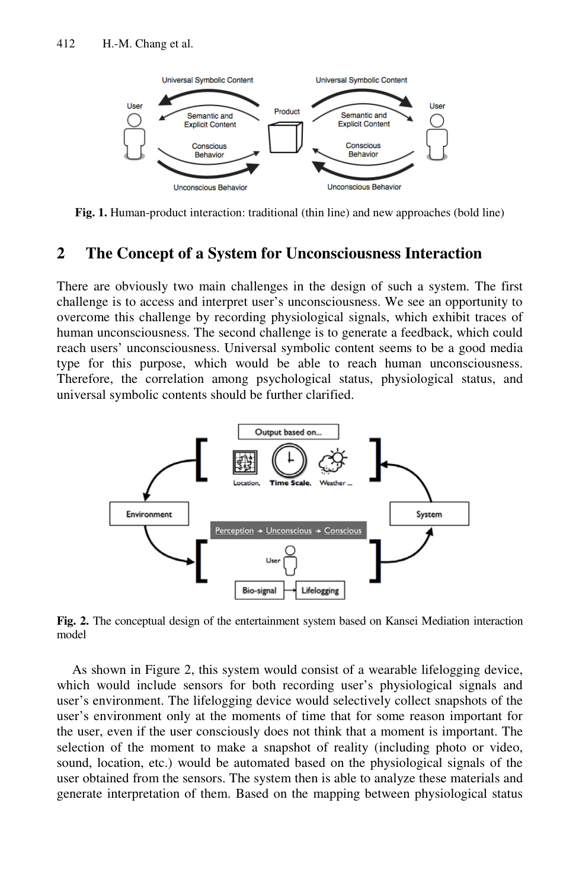

**Fig. 1.** Human-product interaction: traditional (thin line) and new approaches (bold line)

#### **2 The Concept of a System for Unconsciousness Interaction**

There are obviously two main challenges in the design of such a system. The first challenge is to access and interpret user's unconsciousness. We see an opportunity to overcome this challenge by recording physiological signals, which exhibit traces of human unconsciousness. The second challenge is to generate a feedback, which could reach users' unconsciousness. Universal symbolic content seems to be a good media type for this purpose, which would be able to reach human unconsciousness. Therefore, the correlation among psychological status, physiological status, and universal symbolic contents should be further clarified.



**Fig. 2.** The conceptual design of the entertainment system based on Kansei Mediation interaction model

As shown in Figure 2, this system would consist of a wearable lifelogging device, which would include sensors for both recording user's physiological signals and user's environment. The lifelogging device would selectively collect snapshots of the user's environment only at the moments of time that for some reason important for the user, even if the user consciously does not think that a moment is important. The selection of the moment to make a snapshot of reality (including photo or video, sound, location, etc.) would be automated based on the physiological signals of the user obtained from the sensors. The system then is able to analyze these materials and generate interpretation of them. Based on the mapping between physiological status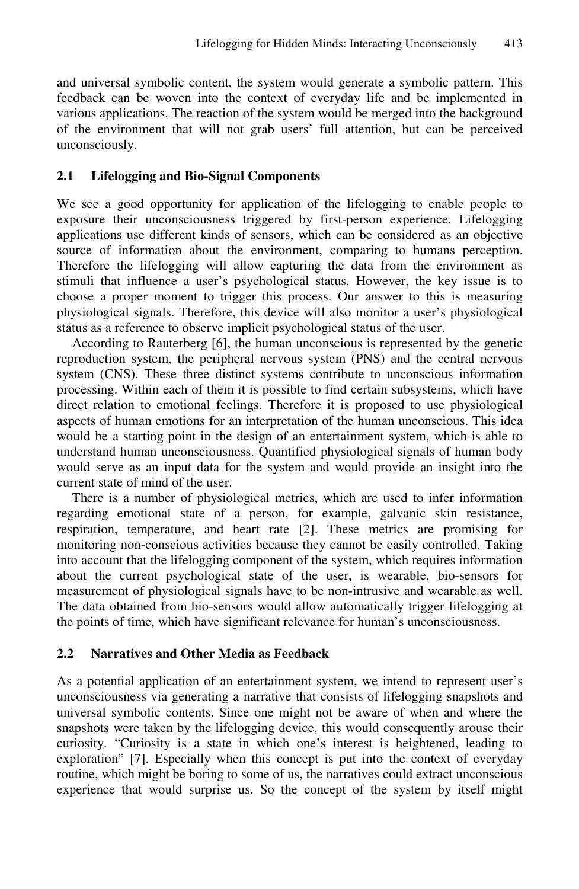and universal symbolic content, the system would generate a symbolic pattern. This feedback can be woven into the context of everyday life and be implemented in various applications. The reaction of the system would be merged into the background of the environment that will not grab users' full attention, but can be perceived unconsciously.

#### **2.1 Lifelogging and Bio-Signal Components**

We see a good opportunity for application of the lifelogging to enable people to exposure their unconsciousness triggered by first-person experience. Lifelogging applications use different kinds of sensors, which can be considered as an objective source of information about the environment, comparing to humans perception. Therefore the lifelogging will allow capturing the data from the environment as stimuli that influence a user's psychological status. However, the key issue is to choose a proper moment to trigger this process. Our answer to this is measuring physiological signals. Therefore, this device will also monitor a user's physiological status as a reference to observe implicit psychological status of the user.

According to Rauterberg [6], the human unconscious is represented by the genetic reproduction system, the peripheral nervous system (PNS) and the central nervous system (CNS). These three distinct systems contribute to unconscious information processing. Within each of them it is possible to find certain subsystems, which have direct relation to emotional feelings. Therefore it is proposed to use physiological aspects of human emotions for an interpretation of the human unconscious. This idea would be a starting point in the design of an entertainment system, which is able to understand human unconsciousness. Quantified physiological signals of human body would serve as an input data for the system and would provide an insight into the current state of mind of the user.

There is a number of physiological metrics, which are used to infer information regarding emotional state of a person, for example, galvanic skin resistance, respiration, temperature, and heart rate [2]. These metrics are promising for monitoring non-conscious activities because they cannot be easily controlled. Taking into account that the lifelogging component of the system, which requires information about the current psychological state of the user, is wearable, bio-sensors for measurement of physiological signals have to be non-intrusive and wearable as well. The data obtained from bio-sensors would allow automatically trigger lifelogging at the points of time, which have significant relevance for human's unconsciousness.

#### **2.2 Narratives and Other Media as Feedback**

As a potential application of an entertainment system, we intend to represent user's unconsciousness via generating a narrative that consists of lifelogging snapshots and universal symbolic contents. Since one might not be aware of when and where the snapshots were taken by the lifelogging device, this would consequently arouse their curiosity. "Curiosity is a state in which one's interest is heightened, leading to exploration" [7]. Especially when this concept is put into the context of everyday routine, which might be boring to some of us, the narratives could extract unconscious experience that would surprise us. So the concept of the system by itself might